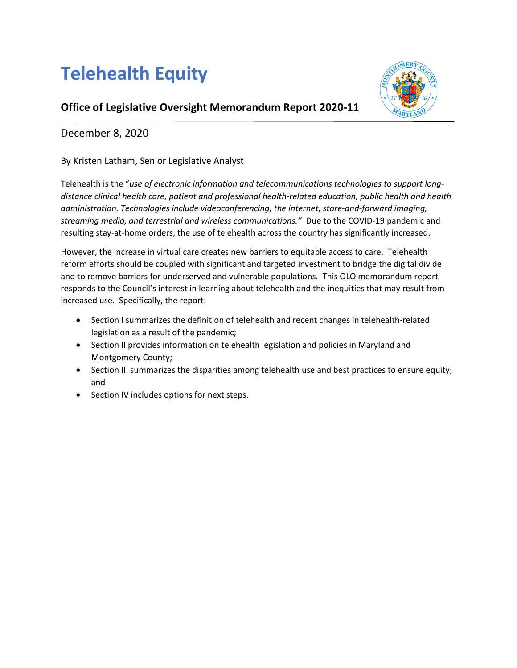# **Telehealth Equity**



## **Office of Legislative Oversight Memorandum Report 2020-11**

## December 8, 2020

By Kristen Latham, Senior Legislative Analyst

Telehealth is the "*use of electronic information and telecommunications technologies to support longdistance clinical health care, patient and professional health-related education, public health and health administration. Technologies include videoconferencing, the internet, store-and-forward imaging, streaming media, and terrestrial and wireless communications."* Due to the COVID-19 pandemic and resulting stay-at-home orders, the use of telehealth across the country has significantly increased.

However, the increase in virtual care creates new barriers to equitable access to care. Telehealth reform efforts should be coupled with significant and targeted investment to bridge the digital divide and to remove barriers for underserved and vulnerable populations. This OLO memorandum report responds to the Council's interest in learning about telehealth and the inequities that may result from increased use. Specifically, the report:

- Section I summarizes the definition of telehealth and recent changes in telehealth-related legislation as a result of the pandemic;
- Section II provides information on telehealth legislation and policies in Maryland and Montgomery County;
- Section III summarizes the disparities among telehealth use and best practices to ensure equity; and
- Section IV includes options for next steps.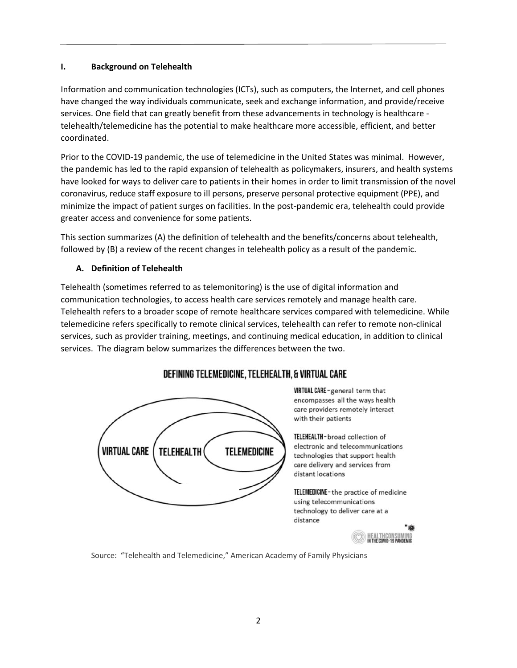#### **I. Background on Telehealth**

Information and communication technologies (ICTs), such as computers, the Internet, and cell phones have changed the way individuals communicate, seek and exchange information, and provide/receive services. One field that can greatly benefit from these advancements in technology is healthcare telehealth/telemedicine has the potential to make healthcare more accessible, efficient, and better coordinated.

Prior to the COVID-19 pandemic, the use of telemedicine in the United States was minimal. However, the pandemic has led to the rapid expansion of telehealth as policymakers, insurers, and health systems have looked for ways to deliver care to patients in their homes in order to limit transmission of the novel coronavirus, reduce staff exposure to ill persons, preserve personal protective equipment (PPE), and minimize the impact of patient surges on facilities. In the post-pandemic era, telehealth could provide greater access and convenience for some patients.

This section summarizes (A) the definition of telehealth and the benefits/concerns about telehealth, followed by (B) a review of the recent changes in telehealth policy as a result of the pandemic.

#### **A. Definition of Telehealth**

Telehealth (sometimes referred to as telemonitoring) is the use of digital information and communication technologies, to access health care services remotely and manage health care. Telehealth refers to a broader scope of remote healthcare services compared with telemedicine. While telemedicine refers specifically to remote clinical services, telehealth can refer to remote non-clinical services, such as provider training, meetings, and continuing medical education, in addition to clinical services. The diagram below summarizes the differences between the two.



## DEFINING TELEMEDICINE, TELEHEALTH, & VIRTUAL CARE

**VIRTUAL CARE - general term that** encompasses all the ways health care providers remotely interact with their patients

TELEHEALTH-broad collection of electronic and telecommunications technologies that support health care delivery and services from distant locations

TELEMEDICINE-the practice of medicine using telecommunications technology to deliver care at a distance



Source: "Telehealth and Telemedicine," American Academy of Family Physicians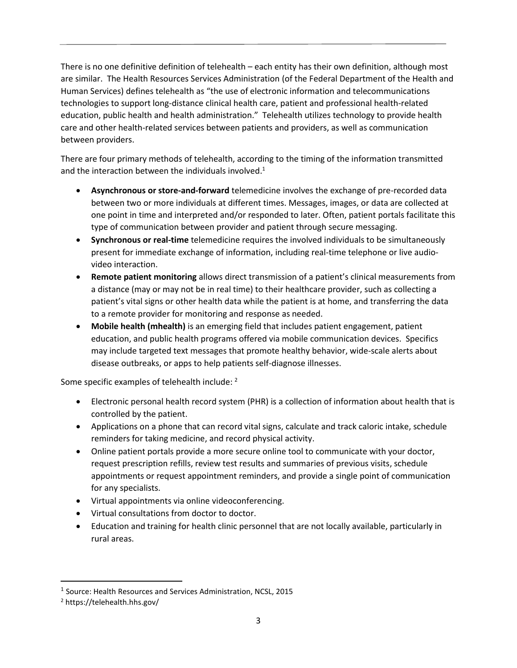There is no one definitive definition of telehealth – each entity has their own definition, although most are similar. The Health Resources Services Administration (of the Federal Department of the Health and Human Services) defines telehealth as "the use of electronic information and telecommunications technologies to support long-distance clinical health care, patient and professional health-related education, public health and health administration." Telehealth utilizes technology to provide health care and other health-related services between patients and providers, as well as communication between providers.

There are four primary methods of telehealth, according to the timing of the information transmitted and the interaction between the individuals involved.<sup>1</sup>

- **Asynchronous or store-and-forward** telemedicine involves the exchange of pre-recorded data between two or more individuals at different times. Messages, images, or data are collected at one point in time and interpreted and/or responded to later. Often, patient portals facilitate this type of communication between provider and patient through secure messaging.
- **Synchronous or real-time** telemedicine requires the involved individuals to be simultaneously present for immediate exchange of information, including real-time telephone or live audiovideo interaction.
- **Remote patient monitoring** allows direct transmission of a patient's clinical measurements from a distance (may or may not be in real time) to their healthcare provider, such as collecting a patient's vital signs or other health data while the patient is at home, and transferring the data to a remote provider for monitoring and response as needed.
- **Mobile health (mhealth)** is an emerging field that includes patient engagement, patient education, and public health programs offered via mobile communication devices. Specifics may include targeted text messages that promote healthy behavior, wide-scale alerts about disease outbreaks, or apps to help patients self-diagnose illnesses.

Some specific examples of telehealth include: <sup>2</sup>

- Electronic personal health record system (PHR) is a collection of information about health that is controlled by the patient.
- Applications on a phone that can record vital signs, calculate and track caloric intake, schedule reminders for taking medicine, and record physical activity.
- Online patient portals provide a more secure online tool to communicate with your doctor, request prescription refills, review test results and summaries of previous visits, schedule appointments or request appointment reminders, and provide a single point of communication for any specialists.
- Virtual appointments via online videoconferencing.
- Virtual consultations from doctor to doctor.
- Education and training for health clinic personnel that are not locally available, particularly in rural areas.

<sup>&</sup>lt;sup>1</sup> Source: Health Resources and Services Administration, NCSL, 2015

<sup>2</sup> https://telehealth.hhs.gov/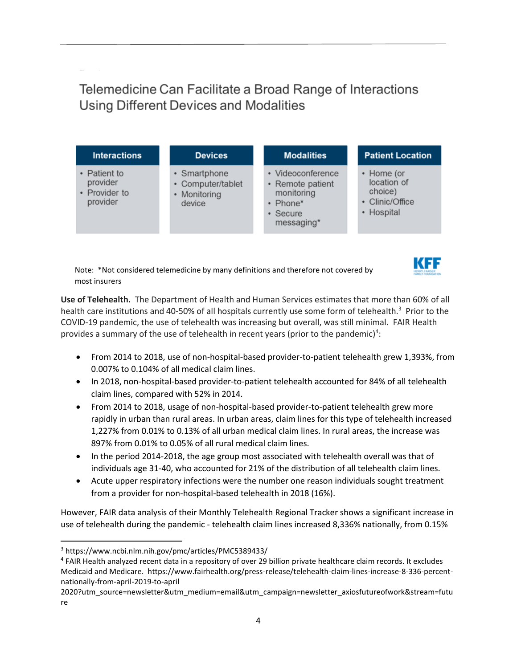Telemedicine Can Facilitate a Broad Range of Interactions **Using Different Devices and Modalities** 

| <b>Interactions</b>                                   | <b>Devices</b>                                              | <b>Modalities</b>                                                                         | <b>Patient Location</b>                                               |
|-------------------------------------------------------|-------------------------------------------------------------|-------------------------------------------------------------------------------------------|-----------------------------------------------------------------------|
| • Patient to<br>provider<br>• Provider to<br>provider | • Smartphone<br>• Computer/tablet<br>• Monitoring<br>device | • Videoconference<br>• Remote patient<br>monitoring<br>• Phone*<br>• Secure<br>messaging* | • Home (or<br>location of<br>choice)<br>• Clinic/Office<br>• Hospital |

Note: \*Not considered telemedicine by many definitions and therefore not covered by most insurers

**Use of Telehealth.** The Department of Health and Human Services estimates that more than 60% of all health care institutions and 40-50% of all hospitals currently use some form of telehealth.<sup>3</sup> Prior to the COVID-19 pandemic, the use of telehealth was increasing but overall, was still minimal. FAIR Health provides a summary of the use of telehealth in recent years (prior to the pandemic)<sup>4</sup>:

KFF

- From 2014 to 2018, use of non-hospital-based provider-to-patient telehealth grew 1,393%, from 0.007% to 0.104% of all medical claim lines.
- In 2018, non-hospital-based provider-to-patient telehealth accounted for 84% of all telehealth claim lines, compared with 52% in 2014.
- From 2014 to 2018, usage of non-hospital-based provider-to-patient telehealth grew more rapidly in urban than rural areas. In urban areas, claim lines for this type of telehealth increased 1,227% from 0.01% to 0.13% of all urban medical claim lines. In rural areas, the increase was 897% from 0.01% to 0.05% of all rural medical claim lines.
- In the period 2014-2018, the age group most associated with telehealth overall was that of individuals age 31-40, who accounted for 21% of the distribution of all telehealth claim lines.
- Acute upper respiratory infections were the number one reason individuals sought treatment from a provider for non-hospital-based telehealth in 2018 (16%).

However, FAIR data analysis of their Monthly Telehealth Regional Tracker shows a significant increase in use of telehealth during the pandemic - telehealth claim lines increased 8,336% nationally, from 0.15%

<sup>3</sup> https://www.ncbi.nlm.nih.gov/pmc/articles/PMC5389433/

<sup>&</sup>lt;sup>4</sup> FAIR Health analyzed recent data in a repository of over 29 billion private healthcare claim records. It excludes Medicaid and Medicare. [https://www.fairhealth.org/press-release/telehealth-claim-lines-increase-8-336-percent](https://www.fairhealth.org/press-release/telehealth-claim-lines-increase-8-336-percent-nationally-from-april-2019-to-april%202020?utm_source=newsletter&utm_medium=email&utm_campaign=newsletter_axiosfutureofwork&stream=future)[nationally-from-april-2019-to-april](https://www.fairhealth.org/press-release/telehealth-claim-lines-increase-8-336-percent-nationally-from-april-2019-to-april%202020?utm_source=newsletter&utm_medium=email&utm_campaign=newsletter_axiosfutureofwork&stream=future) 

[<sup>2020?</sup>utm\\_source=newsletter&utm\\_medium=email&utm\\_campaign=newsletter\\_axiosfutureofwork&stream=futu](https://www.fairhealth.org/press-release/telehealth-claim-lines-increase-8-336-percent-nationally-from-april-2019-to-april%202020?utm_source=newsletter&utm_medium=email&utm_campaign=newsletter_axiosfutureofwork&stream=future) [re](https://www.fairhealth.org/press-release/telehealth-claim-lines-increase-8-336-percent-nationally-from-april-2019-to-april%202020?utm_source=newsletter&utm_medium=email&utm_campaign=newsletter_axiosfutureofwork&stream=future)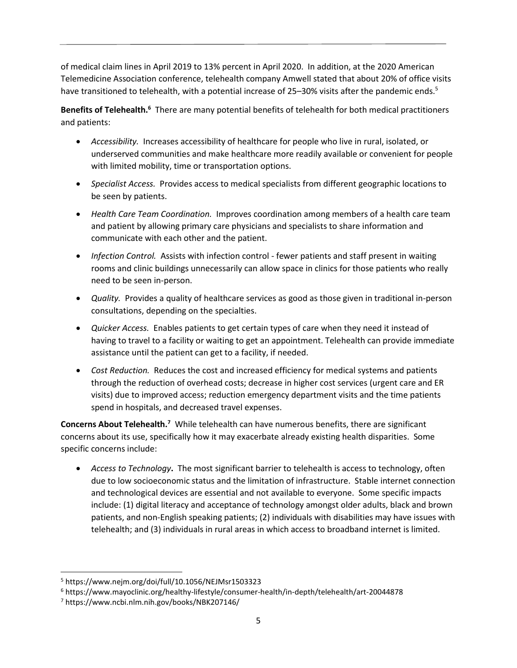of medical claim lines in April 2019 to 13% percent in April 2020. In addition, at the 2020 American Telemedicine Association conference, telehealth company Amwell stated that about 20% of office visits have transitioned to telehealth, with a potential increase of 25–30% visits after the pandemic ends.<sup>5</sup>

Benefits of Telehealth.<sup>6</sup> There are many potential benefits of telehealth for both medical practitioners and patients:

- *Accessibility.* Increases accessibility of healthcare for people who live in rural, isolated, or underserved communities and make healthcare more readily available or convenient for people with limited mobility, time or transportation options.
- *Specialist Access.* Provides access to medical specialists from different geographic locations to be seen by patients.
- *Health Care Team Coordination.* Improves coordination among members of a health care team and patient by allowing primary care physicians and specialists to share information and communicate with each other and the patient.
- *Infection Control.* Assists with infection control fewer patients and staff present in waiting rooms and clinic buildings unnecessarily can allow space in clinics for those patients who really need to be seen in-person.
- *Quality.* Provides a quality of healthcare services as good as those given in traditional in-person consultations, depending on the specialties.
- *Quicker Access.* Enables patients to get certain types of care when they need it instead of having to travel to a facility or waiting to get an appointment. Telehealth can provide immediate assistance until the patient can get to a facility, if needed.
- *Cost Reduction.* Reduces the cost and increased efficiency for medical systems and patients through the reduction of overhead costs; decrease in higher cost services (urgent care and ER visits) due to improved access; reduction emergency department visits and the time patients spend in hospitals, and decreased travel expenses.

**Concerns About Telehealth.<sup>7</sup>** While telehealth can have numerous benefits, there are significant concerns about its use, specifically how it may exacerbate already existing health disparities. Some specific concerns include:

• *Access to Technology***.** The most significant barrier to telehealth is access to technology, often due to low socioeconomic status and the limitation of infrastructure. Stable internet connection and technological devices are essential and not available to everyone. Some specific impacts include: (1) digital literacy and acceptance of technology amongst older adults, black and brown patients, and non-English speaking patients; (2) individuals with disabilities may have issues with telehealth; and (3) individuals in rural areas in which access to broadband internet is limited.

<sup>5</sup> <https://www.nejm.org/doi/full/10.1056/NEJMsr1503323>

<sup>6</sup> https://www.mayoclinic.org/healthy-lifestyle/consumer-health/in-depth/telehealth/art-20044878

<sup>7</sup> https://www.ncbi.nlm.nih.gov/books/NBK207146/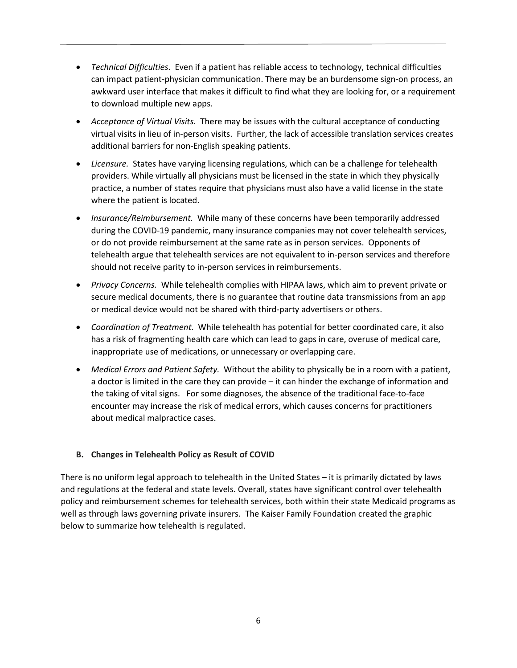- *Technical Difficulties*. Even if a patient has reliable access to technology, technical difficulties can impact patient-physician communication. There may be an burdensome sign-on process, an [awkward user interface](https://www.healthcareitnews.com/news/tech-optimization-pushing-patient-engagement-farther) that makes it difficult to find what they are looking for, or a requirement to download multiple new apps.
- *Acceptance of Virtual Visits.* There may be issues with the cultural acceptance of conducting virtual visits in lieu of in-person visits. Further, the lack of accessible translation services creates additional barriers for non-English speaking patients.
- *Licensure.*States have varying licensing regulations, which can be a challenge for telehealth providers. While virtually all physicians must be licensed in the state in which they physically practice, a number of states require that physicians must also have a valid license in the state where the patient is located.
- *Insurance/Reimbursement.*While many of these concerns have been temporarily addressed during the COVID-19 pandemic, many insurance companies may not cover telehealth services, or do not provide reimbursement at the same rate as in person services. Opponents of telehealth argue that telehealth services are not equivalent to in-person services and therefore should not receive parity to in-person services in reimbursements.
- *Privacy Concerns.*While telehealth complies with HIPAA laws, which aim to prevent private or secure medical documents, there is no guarantee that routine data transmissions from an app or medical device would not be shared with third-party advertisers or others.
- *Coordination of Treatment.*While telehealth has potential for better coordinated care, it also has a risk of fragmenting health care which can lead to gaps in care, overuse of medical care, inappropriate use of medications, or unnecessary or overlapping care.
- *Medical Errors and Patient Safety.* Without the ability to physically be in a room with a patient, a doctor is limited in the care they can provide – it can hinder the exchange of information and the taking of vital signs. For some diagnoses, the absence of the traditional face-to-face encounter may increase the risk of medical errors, which causes concerns for practitioners about medical malpractice cases.

## **B. Changes in Telehealth Policy as Result of COVID**

There is no uniform legal approach to telehealth in the United States – it is primarily dictated by laws and regulations at the federal and state levels. Overall, states have significant control over telehealth policy and reimbursement schemes for telehealth services, both within their state Medicaid programs as well as through laws governing private insurers. The Kaiser Family Foundation created the graphic below to summarize how telehealth is regulated.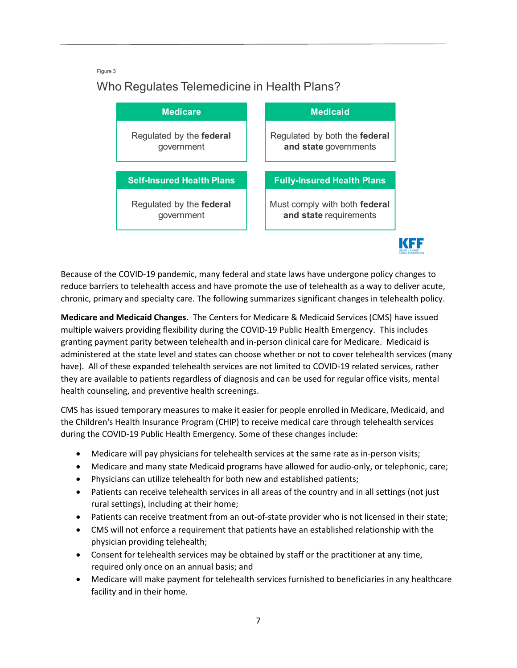#### Figure 3

## Who Regulates Telemedicine in Health Plans?

| <b>Medicare</b>                        |  | <b>Medicaid</b>                                         |
|----------------------------------------|--|---------------------------------------------------------|
| Regulated by the federal<br>government |  | Regulated by both the federal<br>and state governments  |
| <b>Self-Insured Health Plans</b>       |  | <b>Fully-Insured Health Plans</b>                       |
| Regulated by the federal<br>government |  | Must comply with both federal<br>and state requirements |
|                                        |  |                                                         |

Because of the COVID-19 pandemic, many federal and state laws have undergone policy changes to reduce barriers to telehealth access and have promote the use of telehealth as a way to deliver acute, chronic, primary and specialty care. The following summarizes significant changes in telehealth policy.

**Medicare and Medicaid Changes.** The Centers for Medicare & Medicaid Services (CMS) have issued multiple waivers providing flexibility during the COVID-19 Public Health Emergency. This includes granting payment parity between telehealth and in-person clinical care for Medicare. Medicaid is administered at the state level and states can choose whether or not to cover telehealth services (many have). All of these expanded telehealth services are not limited to COVID-19 related services, rather they are available to patients regardless of diagnosis and can be used for regular office visits, mental health counseling, and preventive health screenings.

CMS has issued temporary measures to make it easier for people enrolled in Medicare, Medicaid, and the Children's Health Insurance Program (CHIP) to receive medical care through telehealth services during the COVID-19 Public Health Emergency. Some of these changes include:

- Medicare will pay physicians for telehealth services at the same rate as in-person visits;
- [Medicare](https://www.cms.gov/files/document/summary-covid-19-emergency-declaration-waivers.pdf) and many state [Medicaid](https://www.cchpca.org/covid-19-related-state-actions) programs have allowed for audio-only, or telephonic, care;
- Physicians can utilize telehealth for both new and established patients;
- Patients can receive telehealth services in all areas of the country and in all settings (not just rural settings), including at their home;
- Patients can receive treatment from an [out-of-state provider](https://www.cms.gov/files/document/summary-covid-19-emergency-declaration-waivers.pdf) who is not licensed in their state;
- CMS will not enforce a requirement that patients have an established relationship with the physician providing telehealth;
- Consent for telehealth services may be obtained by staff or the practitioner at any time, required only once on an annual basis; and
- Medicare will make payment for telehealth services furnished to beneficiaries in any healthcare facility and in their home.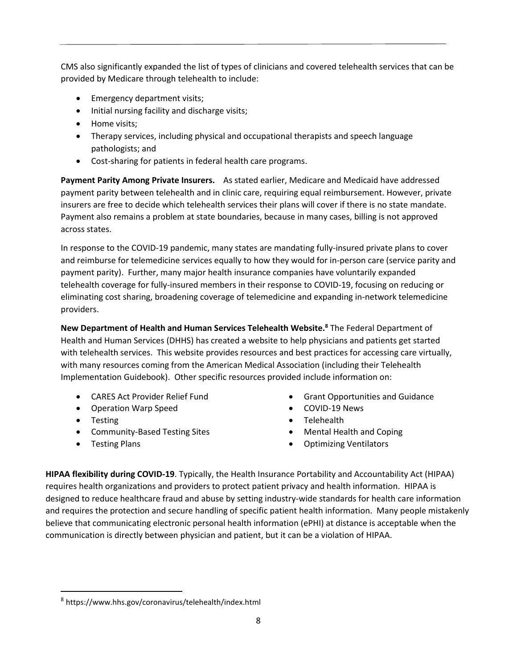CMS also significantly expanded the [list of types of clinicians and covered telehealth services](https://www.cms.gov/Medicare/Medicare-General-Information/Telehealth/Telehealth-Codes) that can be provided by Medicare through telehealth to include:

- Emergency department visits;
- Initial nursing facility and discharge visits;
- Home visits;
- Therapy services, including physical and occupational therapists and speech language pathologists; and
- Cost-sharing for patients in federal health care programs.

**Payment Parity Among Private Insurers.** As stated earlier, Medicare and Medicaid have addressed payment parity between telehealth and in clinic care, requiring equal reimbursement. However, private insurers are free to decide which telehealth services their plans will cover if there is no state mandate. Payment also remains a problem at state boundaries, because in many cases, billing is not approved across states.

In response to the COVID-19 pandemic, many states are mandating fully-insured private plans to cover and reimburse for telemedicine services equally to how they would for in-person care (service parity and payment parity). Further, many major [health insurance](https://www.ahip.org/health-insurance-providers-respond-to-coronavirus-covid-19/) companies have voluntarily expanded telehealth coverage for fully-insured members in their response to COVID-19, focusing on reducing or eliminating cost sharing, broadening coverage of telemedicine and expanding in-network telemedicine providers.

**New Department of Health and Human Services Telehealth Website. <sup>8</sup>** The Federal Department of Health and Human Services (DHHS) has created a website to help physicians and patients get started with telehealth services. This website provides resources and best practices for accessing care virtually, with many resources coming from the American Medical Association (including their Telehealth Implementation Guidebook). Other specific resources provided include information on:

- [CARES Act Provider Relief Fund](https://www.hhs.gov/coronavirus/cares-act-provider-relief-fund/index.html)
- [Operation Warp Speed](https://www.hhs.gov/coronavirus/explaining-operation-warp-speed/index.html)
- [Testing](https://www.hhs.gov/coronavirus/testing/index.html)
- [Community-Based Testing Sites](https://www.hhs.gov/coronavirus/community-based-testing-sites/index.html)
- [Testing Plans](https://www.hhs.gov/coronavirus/testing-plans/index.html)
- [Grant Opportunities and Guidance](https://www.hhs.gov/coronavirus/grants/index.html)
- [COVID-19 News](https://www.hhs.gov/coronavirus/news/index.html)
- [Telehealth](https://www.hhs.gov/coronavirus/telehealth/index.html)
- [Mental Health and Coping](https://www.hhs.gov/coronavirus/mental-health-and-coping/index.html)
- [Optimizing Ventilators](https://www.hhs.gov/coronavirus/optimizing-ventilator-use/index.html)

**HIPAA flexibility during COVID-19**. Typically, the Health Insurance Portability and Accountability Act (HIPAA) requires health organizations and providers to protect patient privacy and health information. HIPAA is designed to reduce healthcare fraud and abuse by setting industry-wide standards for health care information and requires the protection and secure handling of specific patient health information. Many people mistakenly believe that communicating electronic personal health information (ePHI) at distance is acceptable when the communication is directly between physician and patient, but it can be a violation of HIPAA.

<sup>8</sup> <https://www.hhs.gov/coronavirus/telehealth/index.html>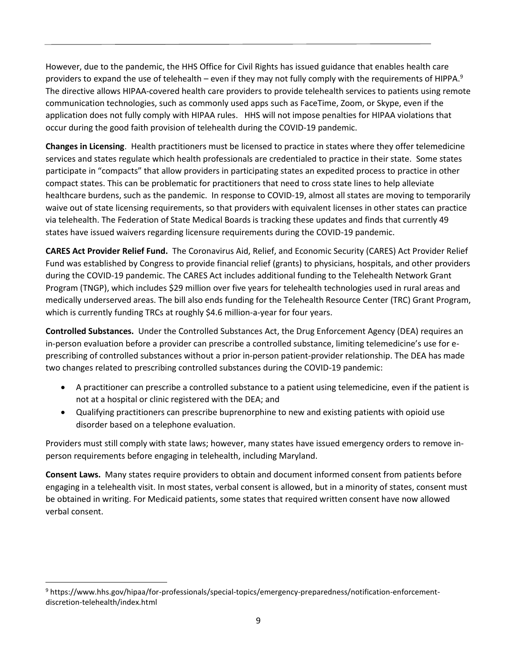However, due to the pandemic, the HHS Office for Civil Rights has issued guidance that enables health care providers to expand the use of telehealth – even if they may not fully comply with the requirements of HIPPA.<sup>9</sup> The directive allows HIPAA-covered health care providers to provide telehealth services to patients using remote communication technologies, such as commonly used apps such as FaceTime, Zoom, or Skype, even if the application does not fully comply with HIPAA rules. HHS will not impose penalties for HIPAA violations that occur during the good faith provision of telehealth during the COVID-19 pandemic.

**Changes in Licensing**. Health practitioners must be licensed to practice in states where they offer telemedicine services and states regulate which health professionals are credentialed to practice in their state. Some states participate in "compacts" that allow providers in participating states an expedited process to practice in other compact states. This can be problematic for practitioners that need to cross state lines to help alleviate healthcare burdens, such as the pandemic. In response to COVID-19, almost all states are moving to temporarily waive out of state licensing requirements, so that providers with equivalent licenses in other states can practice via telehealth. The Federation of State Medical Boards is tracking these updates and finds that currently 49 states have issued waivers regarding licensure requirements during the COVID-19 pandemic.

**CARES Act Provider Relief Fund.** The Coronavirus Aid, Relief, and Economic Security (CARES) Act Provider Relief Fund was established by Congress to provide financial relief (grants) to physicians, hospitals, and other providers during the COVID-19 pandemic. The CARES Act includes additional funding to the Telehealth Network Grant Program (TNGP), which includes \$29 million over five years for telehealth technologies used in rural areas and medically underserved areas. The bill also ends funding for the Telehealth Resource Center (TRC) Grant Program, which is currently funding TRCs at roughly \$4.6 million-a-year for four years.

**Controlled Substances.** Under the Controlled Substances Act, the Drug Enforcement Agency (DEA) requires an in-person evaluation before a provider can prescribe a controlled substance, limiting telemedicine's use for eprescribing of controlled substances without a prior in-person patient-provider relationship. The DEA has made two changes related to prescribing controlled substances during the COVID-19 pandemic:

- A practitioner can prescribe a controlled substance to a patient using telemedicine, even if the patient is not at a hospital or clinic registered with the DEA; and
- Qualifying practitioners can prescribe buprenorphine to new and existing patients with opioid use disorder based on a telephone evaluation.

Providers must still comply with state laws; however, many states have issued emergency orders to remove inperson requirements before engaging in telehealth, including Maryland.

**Consent Laws.** Many states require providers to obtain and document informed consent from patients before engaging in a telehealth visit. In most states, verbal consent is allowed, but in a minority of states, consent must be obtained in writing. For Medicaid patients, some states that required written consent have now allowed verbal consent.

<sup>9</sup> [https://www.hhs.gov/hipaa/for-professionals/special-topics/emergency-preparedness/notification-enforcement](https://www.hhs.gov/hipaa/for-professionals/special-topics/emergency-preparedness/notification-enforcement-discretion-telehealth/index.html)[discretion-telehealth/index.html](https://www.hhs.gov/hipaa/for-professionals/special-topics/emergency-preparedness/notification-enforcement-discretion-telehealth/index.html)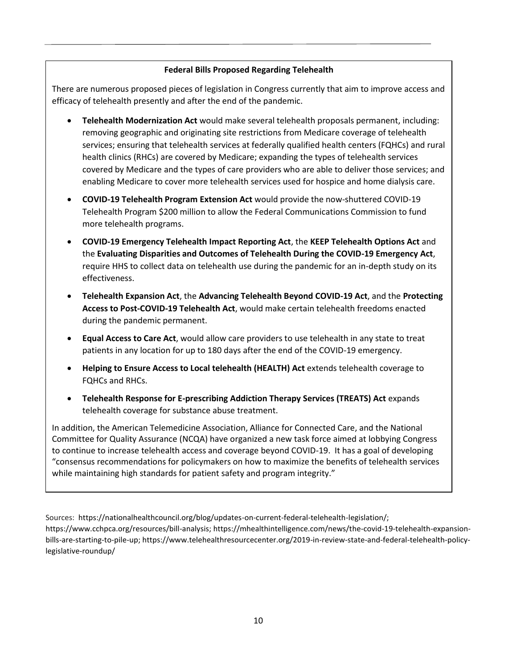#### **Federal Bills Proposed Regarding Telehealth**

There are numerous proposed pieces of legislation in Congress currently that aim to improve access and efficacy of telehealth presently and after the end of the pandemic.

- **Telehealth Modernization Act** would make several telehealth proposals permanent, including: removing geographic and originating site restrictions from Medicare coverage of telehealth services; ensuring that telehealth services at federally qualified health centers (FQHCs) and rural health clinics (RHCs) are covered by Medicare; expanding the types of telehealth services covered by Medicare and the types of care providers who are able to deliver those services; and enabling Medicare to cover more telehealth services used for hospice and home dialysis care.
- **[COVID-19 Telehealth Program Extension Act](https://spanberger.house.gov/uploadedfiles/covid19telehealthprogramextensionacttext.pdf)** would provide the now-shuttered COVID-19 Telehealth Program \$200 million to allow the Federal Communications Commission to fund more telehealth programs.
- **[COVID-19 Emergency Telehealth Impact Reporting Act](https://curtis.house.gov/wp-content/uploads/2020/07/COVID-19-Emergency-Telehealth-Impact-Reporting-Act-of-2020.pdf)**, the **[KEEP Telehealth Options Act](https://balderson.house.gov/uploadedfiles/keep_telehealth_options_act.pdf)** and the **[Evaluating Disparities and Outcomes of Telehealth During the COVID-19 Emergency Act](https://www.congress.gov/bill/116th-congress/house-bill/7078/text?q=%7B%22search%22%3A%5B%22chamberActionDateCode%3A%5C%222020-06-01%7C116%7C1000%5C%22+AND+billIsReserved%3A%5C%22N%5C%22%22%5D%7D&r=15&s=2)**, require HHS to collect data on telehealth use during the pandemic for an in-depth study on its effectiveness.
- **[Telehealth Expansion Act](https://www.finance.senate.gov/imo/media/doc/telehealth%20expansion%20act.pdf)**, the **[Advancing Telehealth Beyond COVID-19 Act](https://www.congress.gov/bill/116th-congress/house-bill/7338?s=1&r=1)**, and the **[Protecting](https://mikethompson.house.gov/sites/mikethompson.house.gov/files/2020-07-15ProtectingAccessToPost-COVID19TelehealthAct.pdf)  [Access to Post-COVID-19 Telehealth Act](https://mikethompson.house.gov/sites/mikethompson.house.gov/files/2020-07-15ProtectingAccessToPost-COVID19TelehealthAct.pdf)**, would make certain telehealth freedoms enacted during the pandemic permanent.
- **[Equal Access to Care Act](https://www.cruz.senate.gov/files/documents/Bills/2020.06.17%20-%20Equal%20Access%20to%20Care%20Act.pdf)**, would allow care providers to use telehealth in any state to treat patients in any location for up to 180 days after the end of the COVID-19 emergency.
- **[Helping to Ensure Access to Local telehealth \(HEALTH\) Act](https://thompson.house.gov/sites/thompson.house.gov/files/06.11.2020_HEALTHAct.pdf)** extends telehealth coverage to FQHCs and RHCs.
- **[Telehealth Response for E-prescribing Addiction Therapy Services \(TREATS\) Act](https://www.congress.gov/bill/116th-congress/senate-bill/4103)** expands telehealth coverage for substance abuse treatment.

In addition, the American Telemedicine Association, Alliance for Connected Care, and the National Committee for Quality Assurance (NCQA) have organized a new task force aimed at lobbying Congress to continue to increase telehealth access and coverage beyond COVID-19. It has a goal of developing "consensus recommendations for policymakers on how to maximize the benefits of telehealth services while maintaining high standards for patient safety and program integrity."

Sources: [https://nationalhealthcouncil.org/blog/updates-on-current-federal-telehealth-legislation/;](https://nationalhealthcouncil.org/blog/updates-on-current-federal-telehealth-legislation/) [https://www.cchpca.org/resources/bill-analysis;](https://www.cchpca.org/resources/bill-analysis) [https://mhealthintelligence.com/news/the-covid-19-telehealth-expansion](https://mhealthintelligence.com/news/the-covid-19-telehealth-expansion-bills-are-starting-to-pile-up)[bills-are-starting-to-pile-up;](https://mhealthintelligence.com/news/the-covid-19-telehealth-expansion-bills-are-starting-to-pile-up) [https://www.telehealthresourcecenter.org/2019-in-review-state-and-federal-telehealth-policy](https://www.telehealthresourcecenter.org/2019-in-review-state-and-federal-telehealth-policy-legislative-roundup/)[legislative-roundup/](https://www.telehealthresourcecenter.org/2019-in-review-state-and-federal-telehealth-policy-legislative-roundup/)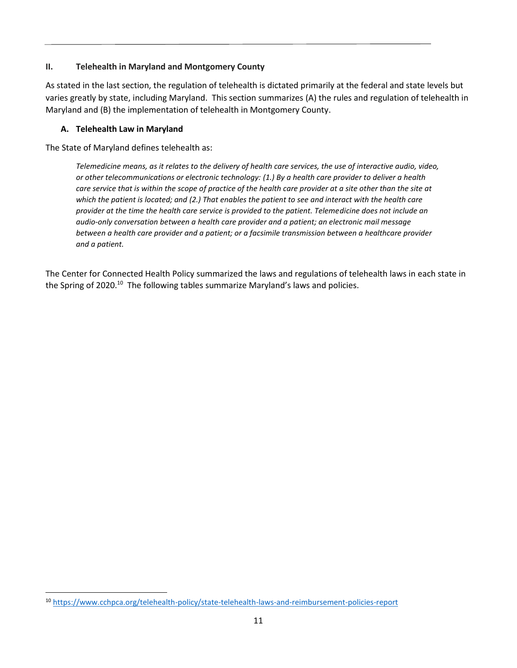#### **II. Telehealth in Maryland and Montgomery County**

As stated in the last section, the regulation of telehealth is dictated primarily at the federal and state levels but varies greatly by state, including Maryland. This section summarizes (A) the rules and regulation of telehealth in Maryland and (B) the implementation of telehealth in Montgomery County.

## **A. Telehealth Law in Maryland**

The State of Maryland defines telehealth as:

*Telemedicine means, as it relates to the delivery of health care services, the use of interactive audio, video, or other telecommunications or electronic technology: (1.) By a health care provider to deliver a health*  care service that is within the scope of practice of the health care provider at a site other than the site at *which the patient is located; and (2.) That enables the patient to see and interact with the health care provider at the time the health care service is provided to the patient. Telemedicine does not include an audio-only conversation between a health care provider and a patient; an electronic mail message between a health care provider and a patient; or a facsimile transmission between a healthcare provider and a patient.*

The Center for Connected Health Policy summarized the laws and regulations of telehealth laws in each state in the Spring of 2020.<sup>10</sup> The following tables summarize Maryland's laws and policies.

<sup>10</sup> <https://www.cchpca.org/telehealth-policy/state-telehealth-laws-and-reimbursement-policies-report>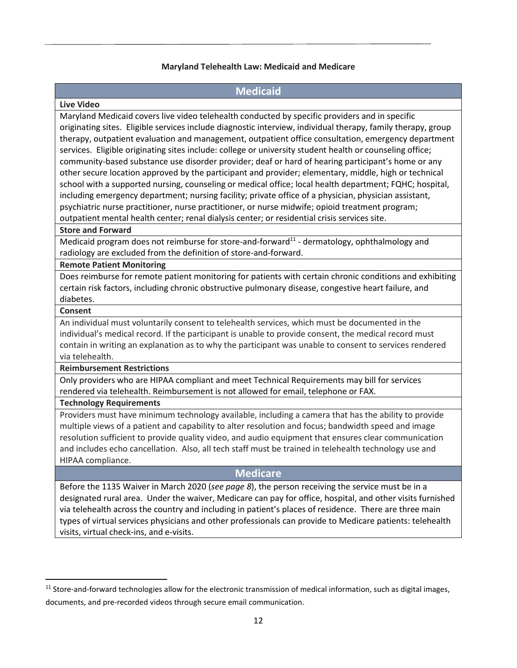#### **Maryland Telehealth Law: Medicaid and Medicare**

#### **Medicaid**

#### **Live Video**

Maryland Medicaid covers live video telehealth conducted by specific providers and in specific originating sites. Eligible services include diagnostic interview, individual therapy, family therapy, group therapy, outpatient evaluation and management, outpatient office consultation, emergency department services. Eligible originating sites include: college or university student health or counseling office; community-based substance use disorder provider; deaf or hard of hearing participant's home or any other secure location approved by the participant and provider; elementary, middle, high or technical school with a supported nursing, counseling or medical office; local health department; FQHC; hospital, including emergency department; nursing facility; private office of a physician, physician assistant, psychiatric nurse practitioner, nurse practitioner, or nurse midwife; opioid treatment program; outpatient mental health center; renal dialysis center; or residential crisis services site.

#### **Store and Forward**

Medicaid program does not reimburse for store-and-forward $^{11}$  - dermatology, ophthalmology and radiology are excluded from the definition of store-and-forward.

#### **Remote Patient Monitoring**

Does reimburse for remote patient monitoring for patients with certain chronic conditions and exhibiting certain risk factors, including chronic obstructive pulmonary disease, congestive heart failure, and diabetes.

#### **Consent**

An individual must voluntarily consent to telehealth services, which must be documented in the individual's medical record. If the participant is unable to provide consent, the medical record must contain in writing an explanation as to why the participant was unable to consent to services rendered via telehealth.

#### **Reimbursement Restrictions**

Only providers who are HIPAA compliant and meet Technical Requirements may bill for services rendered via telehealth. Reimbursement is not allowed for email, telephone or FAX.

#### **Technology Requirements**

Providers must have minimum technology available, including a camera that has the ability to provide multiple views of a patient and capability to alter resolution and focus; bandwidth speed and image resolution sufficient to provide quality video, and audio equipment that ensures clear communication and includes echo cancellation. Also, all tech staff must be trained in telehealth technology use and HIPAA compliance.

## **Medicare**

Before the 1135 Waiver in March 2020 (*see page 8*), the person receiving the service must be in a designated rural area. Under the waiver, Medicare can pay for office, hospital, and other visits furnished via telehealth across the country and including in patient's places of residence. There are three main types of virtual services physicians and other professionals can provide to Medicare patients: telehealth visits, virtual check-ins, and e-visits.

 $11$  Store-and-forward technologies allow for the electronic transmission of medical information, such as digital images, documents, and pre-recorded videos through secure email communication.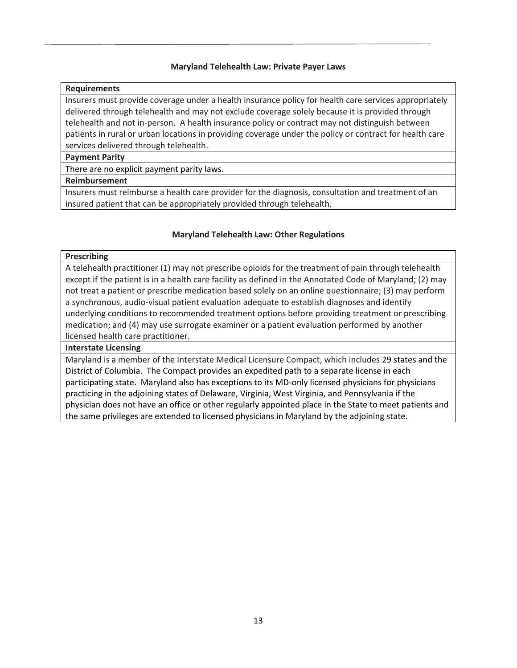#### **Maryland Telehealth Law: Private Payer Laws**

#### **Requirements**

Insurers must provide coverage under a health insurance policy for health care services appropriately delivered through telehealth and may not exclude coverage solely because it is provided through telehealth and not in-person. A health insurance policy or contract may not distinguish between patients in rural or urban locations in providing coverage under the policy or contract for health care services delivered through telehealth.

#### **Payment Parity**

There are no explicit payment parity laws.

#### **Reimbursement**

Insurers must reimburse a health care provider for the diagnosis, consultation and treatment of an insured patient that can be appropriately provided through telehealth.

#### **Maryland Telehealth Law: Other Regulations**

#### **Prescribing**

A telehealth practitioner (1) may not prescribe opioids for the treatment of pain through telehealth except if the patient is in a health care facility as defined in the Annotated Code of Maryland; (2) may not treat a patient or prescribe medication based solely on an online questionnaire; (3) may perform a synchronous, audio-visual patient evaluation adequate to establish diagnoses and identify underlying conditions to recommended treatment options before providing treatment or prescribing medication; and (4) may use surrogate examiner or a patient evaluation performed by another licensed health care practitioner.

#### **Interstate Licensing**

Maryland is a member of the Interstate Medical Licensure Compact, which includes 29 states and the District of Columbia. The Compact provides an expedited path to a separate license in each participating state. Maryland also has exceptions to its MD-only licensed physicians for physicians practicing in the adjoining states of Delaware, Virginia, West Virginia, and Pennsylvania if the physician does not have an office or other regularly appointed place in the State to meet patients and the same privileges are extended to licensed physicians in Maryland by the adjoining state.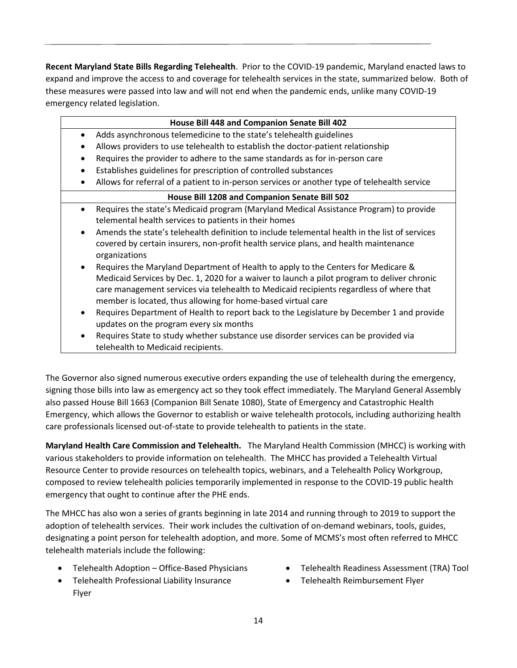**Recent Maryland State Bills Regarding Telehealth**. Prior to the COVID-19 pandemic, Maryland enacted laws to expand and improve the access to and coverage for telehealth services in the state, summarized below. Both of these measures were passed into law and will not end when the pandemic ends, unlike many COVID-19 emergency related legislation.

|                                               | House Bill 448 and Companion Senate Bill 402                                                  |  |
|-----------------------------------------------|-----------------------------------------------------------------------------------------------|--|
| ٠                                             | Adds asynchronous telemedicine to the state's telehealth guidelines                           |  |
|                                               | Allows providers to use telehealth to establish the doctor-patient relationship               |  |
|                                               | Requires the provider to adhere to the same standards as for in-person care                   |  |
| $\bullet$                                     | Establishes guidelines for prescription of controlled substances                              |  |
| $\bullet$                                     | Allows for referral of a patient to in-person services or another type of telehealth service  |  |
| House Bill 1208 and Companion Senate Bill 502 |                                                                                               |  |
| $\bullet$                                     | Requires the state's Medicaid program (Maryland Medical Assistance Program) to provide        |  |
|                                               | telemental health services to patients in their homes                                         |  |
| $\bullet$                                     | Amends the state's telehealth definition to include telemental health in the list of services |  |
|                                               | covered by certain insurers, non-profit health service plans, and health maintenance          |  |
|                                               | organizations                                                                                 |  |
| $\bullet$                                     | Requires the Maryland Department of Health to apply to the Centers for Medicare &             |  |
|                                               | Medicaid Services by Dec. 1, 2020 for a waiver to launch a pilot program to deliver chronic   |  |
|                                               | care management services via telehealth to Medicaid recipients regardless of where that       |  |
|                                               | member is located, thus allowing for home-based virtual care                                  |  |
| $\bullet$                                     | Requires Department of Health to report back to the Legislature by December 1 and provide     |  |
|                                               | updates on the program every six months                                                       |  |
| $\bullet$                                     | Requires State to study whether substance use disorder services can be provided via           |  |
|                                               | telehealth to Medicaid recipients.                                                            |  |

The Governor also signed numerous executive orders expanding the use of telehealth during the emergency, signing those bills into law as emergency act so they took effect immediately. The Maryland General Assembly also passed House Bill 1663 (Companion Bill Senate 1080), State of Emergency and Catastrophic Health Emergency, which allows the Governor to establish or waive telehealth protocols, including authorizing health care professionals licensed out-of-state to provide telehealth to patients in the state.

**Maryland Health Care Commission and Telehealth.** The Maryland Health Commission (MHCC) is working with various stakeholders to provide information on telehealth. The MHCC has provided a Telehealth Virtual Resource Center to provide resources on telehealth topics, webinars, and a Telehealth Policy Workgroup, composed to review telehealth policies temporarily implemented in response to the COVID-19 public health emergency that ought to continue after the PHE ends.

The MHCC has also won a series of grants beginning in late 2014 and running through to 2019 to support the adoption of telehealth services. Their work includes the cultivation of on-demand webinars, tools, guides, designating a point person for telehealth adoption, and more. Some of MCMS's most often referred to MHCC telehealth materials include the following:

- Telehealth Adoption [Office-Based Physicians](http://mhcc.maryland.gov/mhcc/pages/hit/hit/documents/HIT_Telehealth_Adoption_Brf_20180404.pdf)
- [Telehealth Professional Liability Insurance](http://mhcc.maryland.gov/mhcc/pages/hit/hit_telemedicine/documents/HIT_Telehealth_Liability_Ins_20180319.pdf)  [Flyer](http://mhcc.maryland.gov/mhcc/pages/hit/hit_telemedicine/documents/HIT_Telehealth_Liability_Ins_20180319.pdf)
- [Telehealth Readiness Assessment \(TRA\) Tool](https://mhcc.maryland.gov/mhcc/pages/hit/hit_telemedicine/documents/TLHT_TRA_Tool.pdf)
- [Telehealth Reimbursement Flyer](http://mhcc.maryland.gov/mhcc/pages/hit/hit_telemedicine/documents/HIT_Telehealth_Reimbursement_Flyer_20190207.pdf)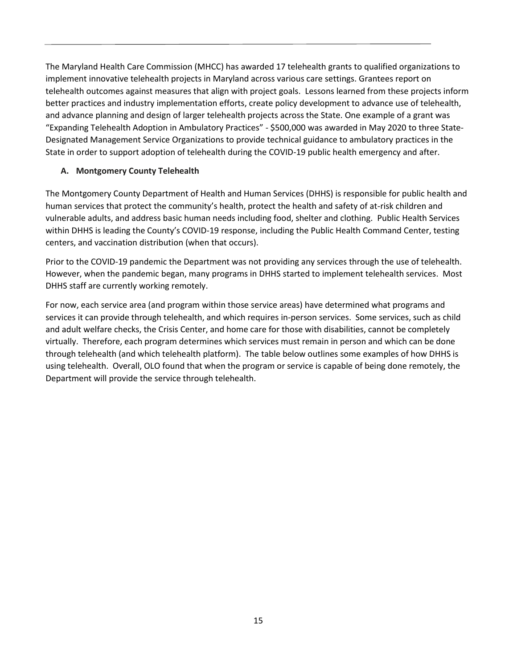The Maryland Health Care Commission (MHCC) has awarded 17 telehealth grants to qualified organizations to implement innovative telehealth projects in Maryland across various care settings. Grantees report on telehealth outcomes against measures that align with project goals. Lessons learned from these projects inform better practices and industry implementation efforts, create policy development to advance use of telehealth, and advance planning and design of larger telehealth projects across the State. One example of a grant was "Expanding Telehealth Adoption in Ambulatory Practices" - \$500,000 was awarded in May 2020 to three State-Designated Management Service Organizations to provide technical guidance to ambulatory practices in the State in order to support adoption of telehealth during the COVID-19 public health emergency and after.

#### **A. Montgomery County Telehealth**

The Montgomery County Department of Health and Human Services (DHHS) is responsible for public health and human services that protect the community's health, protect the health and safety of at-risk children and vulnerable adults, and address basic human needs including food, shelter and clothing. Public Health Services within DHHS is leading the County's COVID-19 response, including the Public Health Command Center, testing centers, and vaccination distribution (when that occurs).

Prior to the COVID-19 pandemic the Department was not providing any services through the use of telehealth. However, when the pandemic began, many programs in DHHS started to implement telehealth services. Most DHHS staff are currently working remotely.

For now, each service area (and program within those service areas) have determined what programs and services it can provide through telehealth, and which requires in-person services. Some services, such as child and adult welfare checks, the Crisis Center, and home care for those with disabilities, cannot be completely virtually. Therefore, each program determines which services must remain in person and which can be done through telehealth (and which telehealth platform). The table below outlines some examples of how DHHS is using telehealth. Overall, OLO found that when the program or service is capable of being done remotely, the Department will provide the service through telehealth.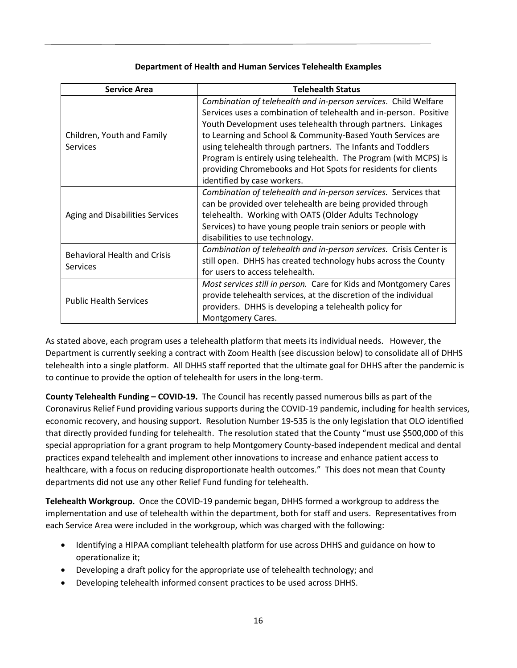#### **Department of Health and Human Services Telehealth Examples**

| <b>Service Area</b>                                    | <b>Telehealth Status</b>                                           |  |
|--------------------------------------------------------|--------------------------------------------------------------------|--|
|                                                        | Combination of telehealth and in-person services. Child Welfare    |  |
|                                                        | Services uses a combination of telehealth and in-person. Positive  |  |
|                                                        | Youth Development uses telehealth through partners. Linkages       |  |
| Children, Youth and Family                             | to Learning and School & Community-Based Youth Services are        |  |
| <b>Services</b>                                        | using telehealth through partners. The Infants and Toddlers        |  |
|                                                        | Program is entirely using telehealth. The Program (with MCPS) is   |  |
|                                                        | providing Chromebooks and Hot Spots for residents for clients      |  |
|                                                        | identified by case workers.                                        |  |
|                                                        | Combination of telehealth and in-person services. Services that    |  |
| Aging and Disabilities Services                        | can be provided over telehealth are being provided through         |  |
|                                                        | telehealth. Working with OATS (Older Adults Technology             |  |
|                                                        | Services) to have young people train seniors or people with        |  |
|                                                        | disabilities to use technology.                                    |  |
| <b>Behavioral Health and Crisis</b><br><b>Services</b> | Combination of telehealth and in-person services. Crisis Center is |  |
|                                                        | still open. DHHS has created technology hubs across the County     |  |
|                                                        | for users to access telehealth.                                    |  |
|                                                        | Most services still in person. Care for Kids and Montgomery Cares  |  |
| <b>Public Health Services</b>                          | provide telehealth services, at the discretion of the individual   |  |
|                                                        | providers. DHHS is developing a telehealth policy for              |  |
|                                                        | Montgomery Cares.                                                  |  |

As stated above, each program uses a telehealth platform that meets its individual needs. However, the Department is currently seeking a contract with Zoom Health (see discussion below) to consolidate all of DHHS telehealth into a single platform. All DHHS staff reported that the ultimate goal for DHHS after the pandemic is to continue to provide the option of telehealth for users in the long-term.

**County Telehealth Funding – COVID-19.** The Council has recently passed numerous bills as part of the Coronavirus Relief Fund providing various supports during the COVID-19 pandemic, including for health services, economic recovery, and housing support. Resolution Number 19-535 is the only legislation that OLO identified that directly provided funding for telehealth. The resolution stated that the County "must use \$500,000 of this special appropriation for a grant program to help Montgomery County-based independent medical and dental practices expand telehealth and implement other innovations to increase and enhance patient access to healthcare, with a focus on reducing disproportionate health outcomes." This does not mean that County departments did not use any other Relief Fund funding for telehealth.

**Telehealth Workgroup.** Once the COVID-19 pandemic began, DHHS formed a workgroup to address the implementation and use of telehealth within the department, both for staff and users. Representatives from each Service Area were included in the workgroup, which was charged with the following:

- Identifying a HIPAA compliant telehealth platform for use across DHHS and guidance on how to operationalize it;
- Developing a draft policy for the appropriate use of telehealth technology; and
- Developing telehealth informed consent practices to be used across DHHS.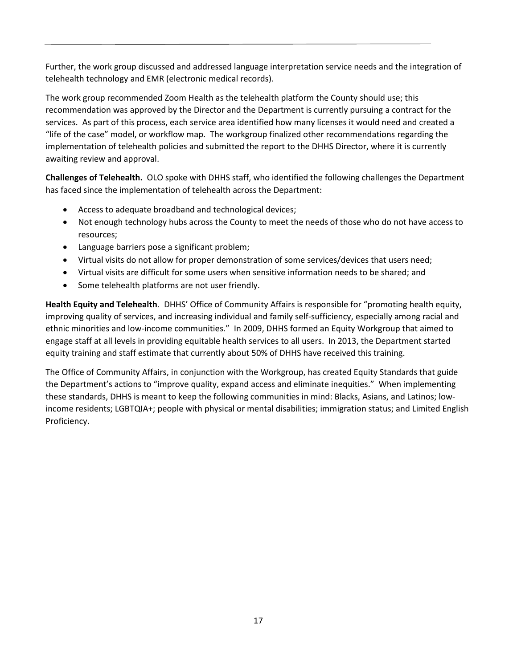Further, the work group discussed and addressed language interpretation service needs and the integration of telehealth technology and EMR (electronic medical records).

The work group recommended Zoom Health as the telehealth platform the County should use; this recommendation was approved by the Director and the Department is currently pursuing a contract for the services. As part of this process, each service area identified how many licenses it would need and created a "life of the case" model, or workflow map. The workgroup finalized other recommendations regarding the implementation of telehealth policies and submitted the report to the DHHS Director, where it is currently awaiting review and approval.

**Challenges of Telehealth.** OLO spoke with DHHS staff, who identified the following challenges the Department has faced since the implementation of telehealth across the Department:

- Access to adequate broadband and technological devices;
- Not enough technology hubs across the County to meet the needs of those who do not have access to resources;
- Language barriers pose a significant problem;
- Virtual visits do not allow for proper demonstration of some services/devices that users need;
- Virtual visits are difficult for some users when sensitive information needs to be shared; and
- Some telehealth platforms are not user friendly.

**Health Equity and Telehealth**. DHHS' Office of Community Affairs is responsible for "promoting health equity, improving quality of services, and increasing individual and family self-sufficiency, especially among racial and ethnic minorities and low-income communities." In 2009, DHHS formed an Equity Workgroup that aimed to engage staff at all levels in providing equitable health services to all users. In 2013, the Department started equity training and staff estimate that currently about 50% of DHHS have received this training.

The Office of Community Affairs, in conjunction with the Workgroup, has created Equity Standards that guide the Department's actions to "improve quality, expand access and eliminate inequities." When implementing these standards, DHHS is meant to keep the following communities in mind: Blacks, Asians, and Latinos; lowincome residents; LGBTQIA+; people with physical or mental disabilities; immigration status; and Limited English Proficiency.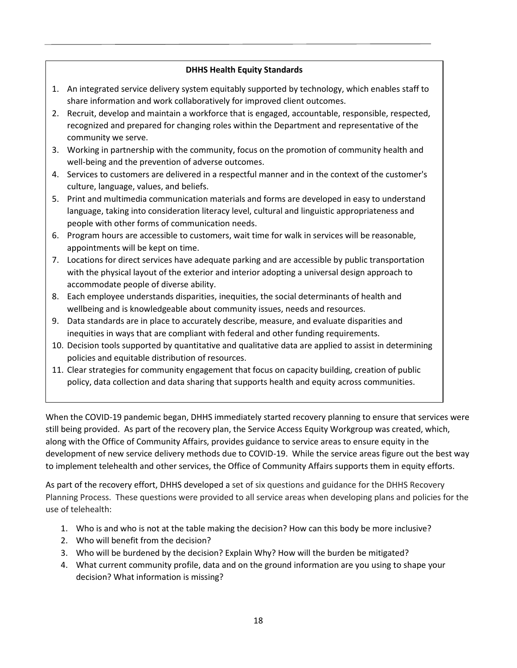#### **DHHS Health Equity Standards**

- 1. An integrated service delivery system equitably supported by technology, which enables staff to share information and work collaboratively for improved client outcomes.
- 2. Recruit, develop and maintain a workforce that is engaged, accountable, responsible, respected, recognized and prepared for changing roles within the Department and representative of the community we serve.
- 3. Working in partnership with the community, focus on the promotion of community health and well-being and the prevention of adverse outcomes.
- 4. Services to customers are delivered in a respectful manner and in the context of the customer's culture, language, values, and beliefs.
- 5. Print and multimedia communication materials and forms are developed in easy to understand language, taking into consideration literacy level, cultural and linguistic appropriateness and people with other forms of communication needs.
- 6. Program hours are accessible to customers, wait time for walk in services will be reasonable, appointments will be kept on time.
- 7. Locations for direct services have adequate parking and are accessible by public transportation with the physical layout of the exterior and interior adopting a universal design approach to accommodate people of diverse ability.
- 8. Each employee understands disparities, inequities, the social determinants of health and wellbeing and is knowledgeable about community issues, needs and resources.
- 9. Data standards are in place to accurately describe, measure, and evaluate disparities and inequities in ways that are compliant with federal and other funding requirements.
- 10. Decision tools supported by quantitative and qualitative data are applied to assist in determining policies and equitable distribution of resources.
- 11. Clear strategies for community engagement that focus on capacity building, creation of public policy, data collection and data sharing that supports health and equity across communities.

When the COVID-19 pandemic began, DHHS immediately started recovery planning to ensure that services were still being provided. As part of the recovery plan, the Service Access Equity Workgroup was created, which, along with the Office of Community Affairs, provides guidance to service areas to ensure equity in the development of new service delivery methods due to COVID-19. While the service areas figure out the best way to implement telehealth and other services, the Office of Community Affairs supports them in equity efforts.

As part of the recovery effort, DHHS developed a set of six questions and guidance for the DHHS Recovery Planning Process. These questions were provided to all service areas when developing plans and policies for the use of telehealth:

- 1. Who is and who is not at the table making the decision? How can this body be more inclusive?
- 2. Who will benefit from the decision?
- 3. Who will be burdened by the decision? Explain Why? How will the burden be mitigated?
- 4. What current community profile, data and on the ground information are you using to shape your decision? What information is missing?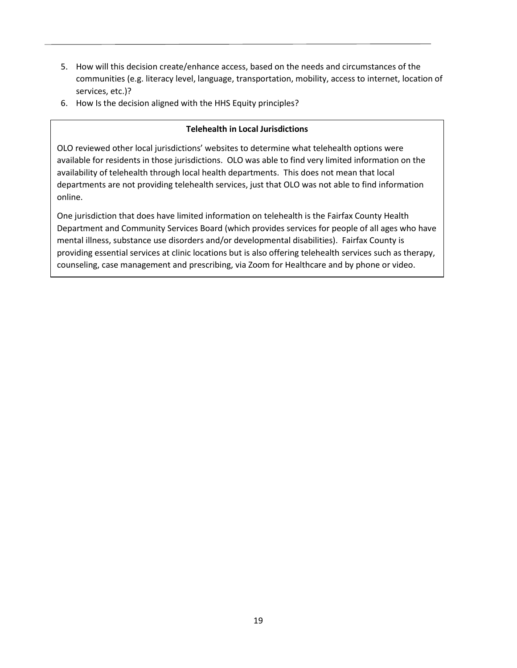- 5. How will this decision create/enhance access, based on the needs and circumstances of the communities (e.g. literacy level, language, transportation, mobility, access to internet, location of services, etc.)?
- 6. How Is the decision aligned with the HHS Equity principles?

#### **Telehealth in Local Jurisdictions**

OLO reviewed other local jurisdictions' websites to determine what telehealth options were available for residents in those jurisdictions. OLO was able to find very limited information on the availability of telehealth through local health departments. This does not mean that local departments are not providing telehealth services, just that OLO was not able to find information online.

One jurisdiction that does have limited information on telehealth is the Fairfax County Health Department and Community Services Board (which provides services for people of all ages who have mental illness, substance use disorders and/or developmental disabilities). Fairfax County is providing essential services at clinic locations but is also offering telehealth services such as therapy, counseling, case management and prescribing, via Zoom for Healthcare and by phone or video.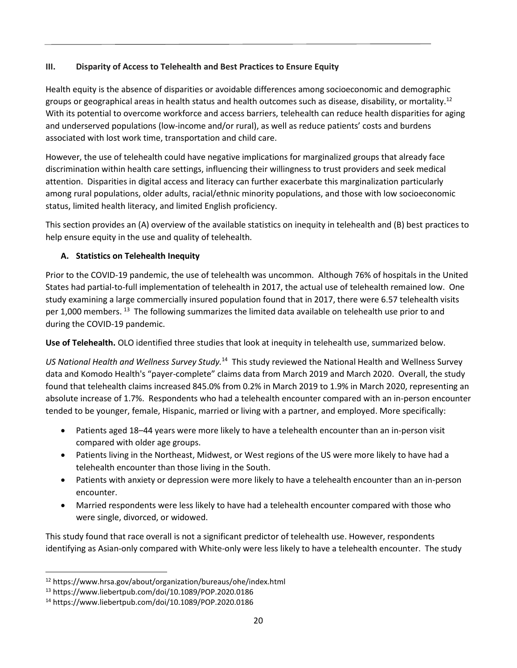#### **III. Disparity of Access to Telehealth and Best Practices to Ensure Equity**

Health equity is the absence of disparities or avoidable differences among socioeconomic and demographic groups or geographical areas in health status and health outcomes such as disease, disability, or mortality.<sup>12</sup> With its potential to overcome workforce and access barriers, [telehealth can reduce](https://news.aamc.org/patient-care/article/telehealth-health-care-disparity-gap/) health disparities for aging and underserved populations (low-income and/or rural), as well as reduce patients' costs and burdens associated with lost work time, transportation and child care.

However, the use of telehealth could have negative implications for marginalized groups that already face discrimination [within health care settings,](https://www.ncbi.nlm.nih.gov/pmc/articles/PMC3552105/) influencing their willingness to trust providers and seek medical attention. Disparities in digital access and literacy can further exacerbate this marginalization particularly among rural populations, older adults, racial/ethnic minority populations, and those with low socioeconomic status, limited health literacy, and limited English proficiency.

This section provides an (A) overview of the available statistics on inequity in telehealth and (B) best practices to help ensure equity in the use and quality of telehealth.

## **A. Statistics on Telehealth Inequity**

Prior to the COVID-19 pandemic, the use of telehealth was uncommon. Although 76% of hospitals in the United States had partial-to-full implementation of telehealth in 2017, the actual use of telehealth remained low. One study examining a large commercially insured population found that in 2017, there were 6.57 telehealth visits per 1,000 members. <sup>13</sup> The following summarizes the limited data available on telehealth use prior to and during the COVID-19 pandemic.

**Use of Telehealth.** OLO identified three studies that look at inequity in telehealth use, summarized below.

*US National Health and Wellness Survey Study.*<sup>14</sup> This study reviewed the National Health and Wellness Survey data and Komodo Health's "payer-complete" claims data from March 2019 and March 2020. Overall, the study found that telehealth claims increased 845.0% from 0.2% in March 2019 to 1.9% in March 2020, representing an absolute increase of 1.7%. Respondents who had a telehealth encounter compared with an in-person encounter tended to be younger, female, Hispanic, married or living with a partner, and employed. More specifically:

- Patients aged 18–44 years were more likely to have a telehealth encounter than an in-person visit compared with older age groups.
- Patients living in the Northeast, Midwest, or West regions of the US were more likely to have had a telehealth encounter than those living in the South.
- Patients with anxiety or depression were more likely to have a telehealth encounter than an in-person encounter.
- Married respondents were less likely to have had a telehealth encounter compared with those who were single, divorced, or widowed.

This study found that race overall is not a significant predictor of telehealth use. However, respondents identifying as Asian-only compared with White-only were less likely to have a telehealth encounter. The study

<sup>12</sup> <https://www.hrsa.gov/about/organization/bureaus/ohe/index.html>

<sup>13</sup> https://www.liebertpub.com/doi/10.1089/POP.2020.0186

<sup>14</sup> https://www.liebertpub.com/doi/10.1089/POP.2020.0186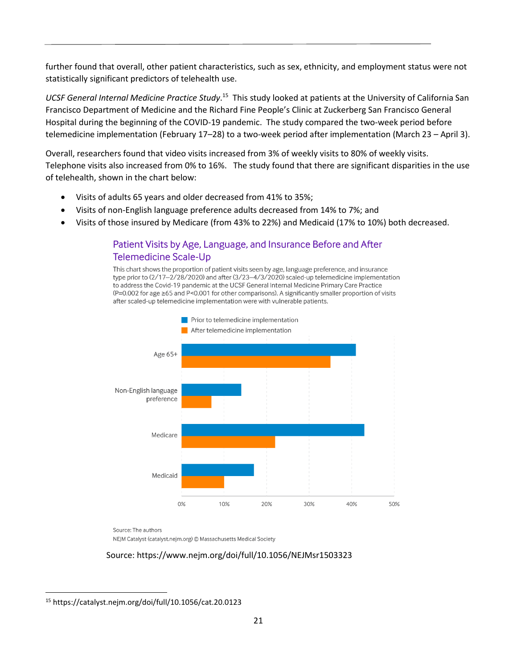further found that overall, other patient characteristics, such as sex, ethnicity, and employment status were not statistically significant predictors of telehealth use.

UCSF General Internal Medicine Practice Study.<sup>15</sup> This study looked at patients at the University of California San Francisco Department of Medicine and the Richard Fine People's Clinic at Zuckerberg San Francisco General Hospital during the beginning of the COVID-19 pandemic. The study compared the two-week period before telemedicine implementation (February 17–28) to a two-week period after implementation (March 23 – April 3).

Overall, researchers found that video visits increased from 3% of weekly visits to 80% of weekly visits. Telephone visits also increased from 0% to 16%. The study found that there are significant disparities in the use of telehealth, shown in the chart below:

- Visits of adults 65 years and older decreased from 41% to 35%;
- Visits of non-English language preference adults decreased from 14% to 7%; and
- Visits of those insured by Medicare (from 43% to 22%) and Medicaid (17% to 10%) both decreased.

## Patient Visits by Age, Language, and Insurance Before and After **Telemedicine Scale-Up**

This chart shows the proportion of patient visits seen by age, language preference, and insurance type prior to (2/17-2/28/2020) and after (3/23-4/3/2020) scaled-up telemedicine implementation to address the Covid-19 pandemic at the UCSF General Internal Medicine Primary Care Practice (P=0.002 for age ≥65 and P<0.001 for other comparisons). A significantly smaller proportion of visits after scaled-up telemedicine implementation were with vulnerable patients.



Source: The authors NEJM Catalyst (catalyst.nejm.org) © Massachusetts Medical Society

#### Source: https://www.nejm.org/doi/full/10.1056/NEJMsr1503323

<sup>15</sup> https://catalyst.nejm.org/doi/full/10.1056/cat.20.0123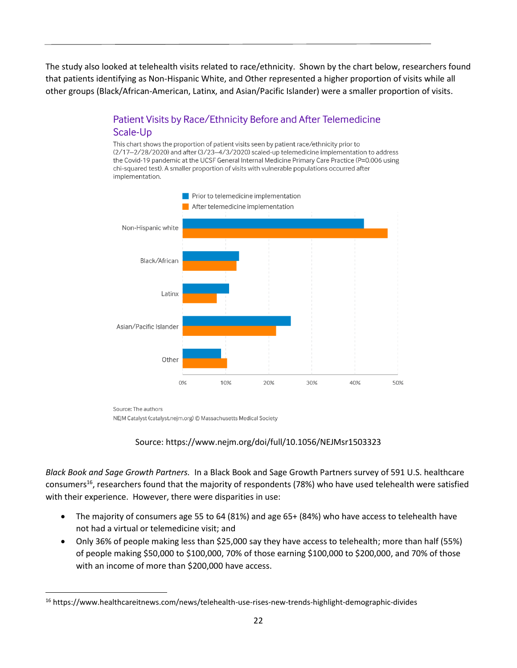The study also looked at telehealth visits related to race/ethnicity. Shown by the chart below, researchers found that patients identifying as Non-Hispanic White, and Other represented a higher proportion of visits while all other groups (Black/African-American, Latinx, and Asian/Pacific Islander) were a smaller proportion of visits.

## Patient Visits by Race/Ethnicity Before and After Telemedicine Scale-Up

This chart shows the proportion of patient visits seen by patient race/ethnicity prior to (2/17-2/28/2020) and after (3/23-4/3/2020) scaled-up telemedicine implementation to address the Covid-19 pandemic at the UCSF General Internal Medicine Primary Care Practice (P=0.006 using chi-squared test). A smaller proportion of visits with vulnerable populations occurred after implementation.



Source: The authors NEJM Catalyst (catalyst.nejm.org) © Massachusetts Medical Society

## Source: https://www.nejm.org/doi/full/10.1056/NEJMsr1503323

*Black Book and Sage Growth Partners.*In a Black Book and Sage Growth Partners survey of 591 U.S. healthcare consumers<sup>16</sup>, researchers found that the majority of respondents (78%) who have used telehealth were satisfied with their experience. However, there were disparities in use:

- The majority of consumers age 55 to 64 (81%) and age 65+ (84%) who have access to telehealth have not had a virtual or telemedicine visit; and
- Only 36% of people making less than \$25,000 say they have access to telehealth; more than half (55%) of people making \$50,000 to \$100,000, 70% of those earning \$100,000 to \$200,000, and 70% of those with an income of more than \$200,000 have access.

<sup>16</sup> <https://www.healthcareitnews.com/news/telehealth-use-rises-new-trends-highlight-demographic-divides>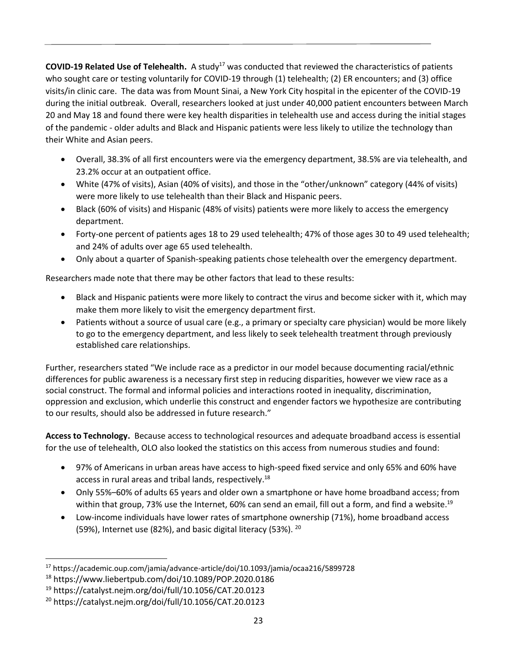**COVID-19 Related Use of Telehealth.** A study<sup>17</sup> was conducted that reviewed the characteristics of patients who sought care or testing voluntarily for COVID-19 through (1) telehealth; (2) ER encounters; and (3) office visits/in clinic care. The data was from Mount Sinai, a New York City hospital in the epicenter of the COVID-19 during the initial outbreak. Overall, researchers looked at just under 40,000 patient encounters between March 20 and May 18 and found there were key health disparities in telehealth use and access during the initial stages of the pandemic - older adults and Black and Hispanic patients were less likely to utilize the technology than their White and Asian peers.

- Overall, 38.3% of all first encounters were via the emergency department, 38.5% are via telehealth, and 23.2% occur at an outpatient office.
- White (47% of visits), Asian (40% of visits), and those in the "other/unknown" category (44% of visits) were more likely to use telehealth than their Black and Hispanic peers.
- Black (60% of visits) and Hispanic (48% of visits) patients were more likely to access the emergency department.
- Forty-one percent of patients ages 18 to 29 used telehealth; 47% of those ages 30 to 49 used telehealth; and 24% of adults over age 65 used telehealth.
- Only about a quarter of Spanish-speaking patients chose telehealth over the emergency department.

Researchers made note that there may be other factors that lead to these results:

- Black and Hispanic patients were more likely to contract the virus and become sicker with it, which may make them more likely to visit the emergency department first.
- Patients without a source of usual care (e.g., a primary or specialty care physician) would be more likely to go to the emergency department, and less likely to seek telehealth treatment through previously established care relationships.

Further, researchers stated "We include race as a predictor in our model because documenting racial/ethnic differences for public awareness is a necessary first step in reducing disparities, however we view race as a social construct. The formal and informal policies and interactions rooted in inequality, discrimination, oppression and exclusion, which underlie this construct and engender factors we hypothesize are contributing to our results, should also be addressed in future research."

**Access to Technology.** Because access to technological resources and adequate broadband access is essential for the use of telehealth, OLO also looked the statistics on this access from numerous studies and found:

- 97% of Americans in urban areas have access to high-speed fixed service and only 65% and 60% have access in rural areas and tribal lands, respectively.<sup>18</sup>
- Only 55%–60% of adults 65 years and older own a smartphone or have home broadband access; from within that group, 73% use the Internet, 60% can send an email, fill out a form, and find a website.<sup>19</sup>
- Low-income individuals have lower rates of smartphone ownership (71%), home broadband access (59%), Internet use (82%), and basic digital literacy (53%).  $^{20}$

<sup>17</sup> <https://academic.oup.com/jamia/advance-article/doi/10.1093/jamia/ocaa216/5899728>

<sup>18</sup> <https://www.liebertpub.com/doi/10.1089/POP.2020.0186>

<sup>19</sup> <https://catalyst.nejm.org/doi/full/10.1056/CAT.20.0123>

<sup>20</sup> <https://catalyst.nejm.org/doi/full/10.1056/CAT.20.0123>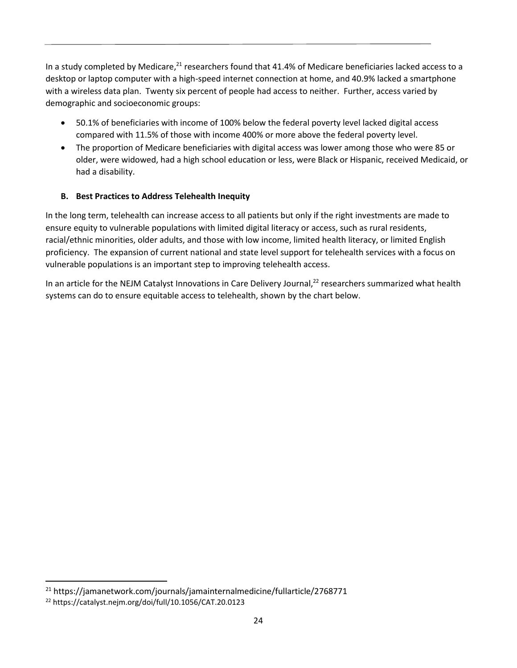In a study completed by Medicare,<sup>21</sup> researchers found that 41.4% of Medicare beneficiaries lacked access to a desktop or laptop computer with a high-speed internet connection at home, and 40.9% lacked a smartphone with a wireless data plan. Twenty six percent of people had access to neither. Further, access varied by demographic and socioeconomic groups:

- 50.1% of beneficiaries with income of 100% below the federal poverty level lacked digital access compared with 11.5% of those with income 400% or more above the federal poverty level.
- The proportion of Medicare beneficiaries with digital access was lower among those who were 85 or older, were widowed, had a high school education or less, were Black or Hispanic, received Medicaid, or had a disability.

## **B. Best Practices to Address Telehealth Inequity**

In the long term, telehealth can increase access to all patients but only if the right investments are made to ensure equity to vulnerable populations with limited digital literacy or access, such as rural residents, racial/ethnic minorities, older adults, and those with low income, limited health literacy, or limited English proficiency. The expansion of current national and state level support for telehealth services with a focus on vulnerable populations is an important step to improving telehealth access.

In an article for the NEJM Catalyst Innovations in Care Delivery Journal,<sup>22</sup> researchers summarized what health systems can do to ensure equitable access to telehealth, shown by the chart below.

<sup>21</sup> https://jamanetwork.com/journals/jamainternalmedicine/fullarticle/2768771

<sup>22</sup> <https://catalyst.nejm.org/doi/full/10.1056/CAT.20.0123>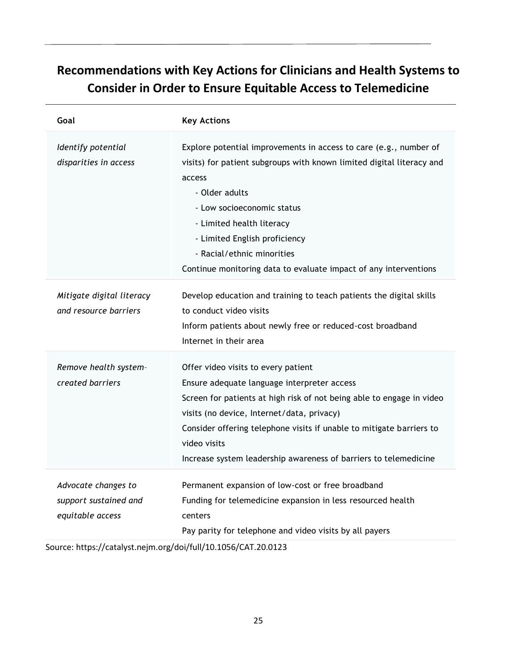## **Recommendations with Key Actions for Clinicians and Health Systems to Consider in Order to Ensure Equitable Access to Telemedicine**

| Goal                                                             | <b>Key Actions</b>                                                                                                                                                                                                                                                                                                                                                    |
|------------------------------------------------------------------|-----------------------------------------------------------------------------------------------------------------------------------------------------------------------------------------------------------------------------------------------------------------------------------------------------------------------------------------------------------------------|
| Identify potential<br>disparities in access                      | Explore potential improvements in access to care (e.g., number of<br>visits) for patient subgroups with known limited digital literacy and<br>access<br>- Older adults<br>- Low socioeconomic status<br>- Limited health literacy<br>- Limited English proficiency<br>- Racial/ethnic minorities<br>Continue monitoring data to evaluate impact of any interventions  |
| Mitigate digital literacy<br>and resource barriers               | Develop education and training to teach patients the digital skills<br>to conduct video visits<br>Inform patients about newly free or reduced-cost broadband<br>Internet in their area                                                                                                                                                                                |
| Remove health system-<br>created barriers                        | Offer video visits to every patient<br>Ensure adequate language interpreter access<br>Screen for patients at high risk of not being able to engage in video<br>visits (no device, Internet/data, privacy)<br>Consider offering telephone visits if unable to mitigate barriers to<br>video visits<br>Increase system leadership awareness of barriers to telemedicine |
| Advocate changes to<br>support sustained and<br>equitable access | Permanent expansion of low-cost or free broadband<br>Funding for telemedicine expansion in less resourced health<br>centers<br>Pay parity for telephone and video visits by all payers                                                                                                                                                                                |

Source:<https://catalyst.nejm.org/doi/full/10.1056/CAT.20.0123>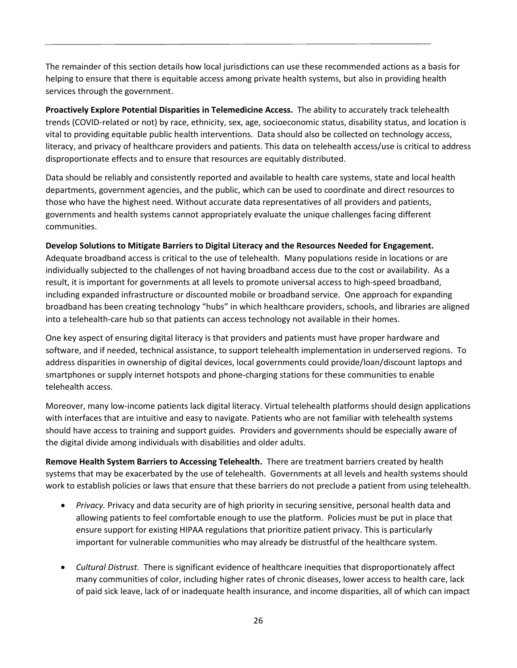The remainder of this section details how local jurisdictions can use these recommended actions as a basis for helping to ensure that there is equitable access among private health systems, but also in providing health services through the government.

**Proactively Explore Potential Disparities in Telemedicine Access.** The ability to accurately track telehealth trends (COVID-related or not) by race, ethnicity, sex, age, socioeconomic status, disability status, and location is vital to providing equitable public health interventions. Data should also be collected on technology access, literacy, and privacy of healthcare providers and patients. This data on telehealth access/use is critical to address disproportionate effects and to ensure that resources are equitably distributed.

Data should be reliably and consistently reported and available to health care systems, state and local health departments, government agencies, and the public, which can be used to coordinate and direct resources to those who have the highest need. Without accurate data representatives of all providers and patients, governments and health systems cannot appropriately evaluate the unique challenges facing different communities.

#### **Develop Solutions to Mitigate Barriers to Digital Literacy and the Resources Needed for Engagement.**

Adequate broadband access is critical to the use of telehealth. Many populations reside in locations or are individually subjected to the challenges of not having broadband access due to the cost or availability. As a result, it is important for governments at all levels to promote universal access to high-speed broadband, including expanded infrastructure or discounted mobile or broadband service. One approach for expanding broadband has been creating technology "hubs" in which healthcare providers, schools, and libraries are aligned into a telehealth-care hub so that patients can access technology not available in their homes.

One key aspect of ensuring digital literacy is that providers and patients must have proper hardware and software, and if needed, technical assistance, to support telehealth implementation in underserved regions. To address disparities in ownership of digital devices, local governments could [provide/loan/discount laptops and](https://www.theatlantic.com/education/archive/2020/04/how-remote-school-can-work-covid-19-pandemic/609895/)  [smartphones or supply internet hotspots](https://www.theatlantic.com/education/archive/2020/04/how-remote-school-can-work-covid-19-pandemic/609895/) and phone-charging stations for these communities to enable telehealth access.

Moreover, many low-income patients lack digital literacy. Virtual telehealth platforms should design applications with interfaces that are intuitive and easy to navigate. Patients who are not familiar with telehealth systems should have access to training and support guides. Providers and governments should be especially aware of the digital divide among individuals with disabilities and older adults.

**Remove Health System Barriers to Accessing Telehealth.** There are treatment barriers created by health systems that may be exacerbated by the use of telehealth. Governments at all levels and health systems should work to establish policies or laws that ensure that these barriers do not preclude a patient from using telehealth.

- *Privacy.* Privacy and data security are of high priority in securing sensitive, personal health data and allowing patients to feel comfortable enough to use the platform. Policies must be put in place that ensure support for existing HIPAA regulations that prioritize patient privacy. This is particularly important for vulnerable communities who may already be distrustful of the healthcare system.
- *Cultural Distrust.*There is significant evidence of healthcare inequities that disproportionately affect many communities of color, including higher rates of chronic diseases, lower access to health care, lack of paid sick leave, lack of or inadequate health insurance, and income disparities, all of which can impact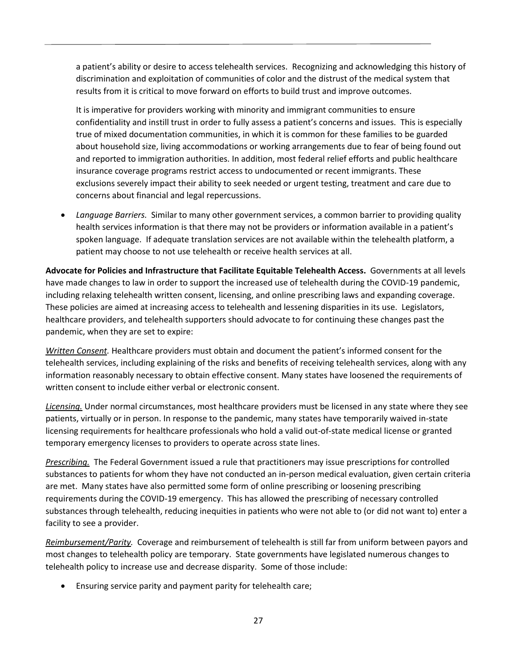a patient's ability or desire to access telehealth services. Recognizing and acknowledging this history of discrimination and exploitation of communities of color and the distrust of the medical system that results from it is critical to move forward on efforts to build trust and improve outcomes.

It is imperative for providers working with minority and immigrant communities to ensure confidentiality and instill trust in order to fully assess a patient's concerns and issues. This is especially true of mixed documentation communities, in which it is common for these families to be guarded about household size, living accommodations or working arrangements due to fear of being found out and reported to immigration authorities. In addition, most federal relief efforts and public healthcare insurance coverage programs restrict access to undocumented or recent immigrants. These exclusions severely impact their ability to seek needed or urgent testing, treatment and care due to concerns about financial and legal repercussions.

• *Language Barriers.*Similar to many other government services, a common barrier to providing quality health services information is that there may not be providers or information available in a patient's spoken language. If adequate translation services are not available within the telehealth platform, a patient may choose to not use telehealth or receive health services at all.

**Advocate for Policies and Infrastructure that Facilitate Equitable Telehealth Access.** Governments at all levels have made changes to law in order to support the increased use of telehealth during the COVID-19 pandemic, including relaxing telehealth written consent, licensing, and online prescribing laws and expanding coverage. These policies are aimed at increasing access to telehealth and lessening disparities in its use. Legislators, healthcare providers, and telehealth supporters should advocate to for continuing these changes past the pandemic, when they are set to expire:

*Written Consent.* Healthcare providers must obtain and document the patient's informed consent for the telehealth services, including explaining of the risks and benefits of receiving telehealth services, along with any information reasonably necessary to obtain effective consent. Many states have loosened the requirements of written consent to include either verbal or electronic consent.

*Licensing.* Under normal circumstances, most healthcare providers must be licensed in any state where they see patients, virtually or in person. In response to the pandemic, many states have temporarily waived in-state licensing requirements for healthcare professionals who hold a valid out-of-state medical license or granted temporary emergency licenses to providers to operate across state lines.

*Prescribing.*The Federal Government issued a rule that practitioners may issue prescriptions for controlled substances to patients for whom they have not conducted an in-person medical evaluation, given certain criteria are met. Many states have also permitted some form of online prescribing or loosening prescribing requirements during the COVID-19 emergency. This has allowed the prescribing of necessary controlled substances through telehealth, reducing inequities in patients who were not able to (or did not want to) enter a facility to see a provider.

*Reimbursement/Parity.*Coverage and reimbursement of telehealth is still far from uniform between payors and most changes to telehealth policy are temporary. State governments have legislated numerous changes to telehealth policy to increase use and decrease disparity. Some of those include:

• Ensuring service parity and payment parity for telehealth care;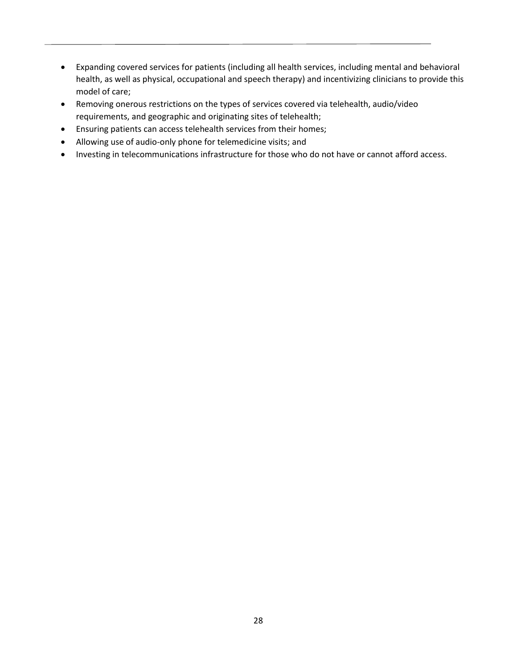- Expanding covered services for patients (including all health services, including mental and behavioral health, as well as physical, occupational and speech therapy) and incentivizing clinicians to provide this model of care;
- Removing onerous restrictions on the types of services covered via telehealth, audio/video requirements, and geographic and originating sites of telehealth;
- Ensuring patients can access telehealth services from their homes;
- Allowing use of audio-only phone for telemedicine visits; and
- Investing in telecommunications infrastructure for those who do not have or cannot afford access.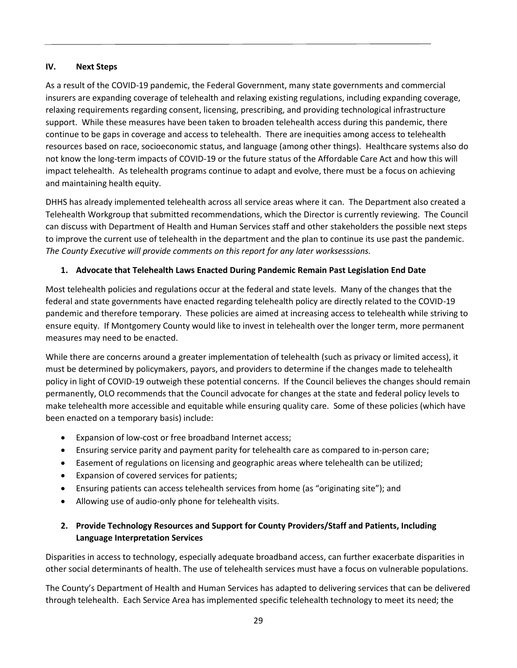#### **IV. Next Steps**

As a result of the COVID-19 pandemic, the Federal Government, many state governments and commercial insurers are expanding coverage of telehealth and relaxing existing regulations, including expanding coverage, relaxing requirements regarding consent, licensing, prescribing, and providing technological infrastructure support. While these measures have been taken to broaden telehealth access during this pandemic, there continue to be gaps in coverage and access to telehealth. There are inequities among access to telehealth resources based on race, socioeconomic status, and language (among other things). Healthcare systems also do not know the long-term impacts of COVID-19 or the future status of the Affordable Care Act and how this will impact telehealth. As telehealth programs continue to adapt and evolve, there must be a focus on achieving and maintaining health equity.

DHHS has already implemented telehealth across all service areas where it can. The Department also created a Telehealth Workgroup that submitted recommendations, which the Director is currently reviewing. The Council can discuss with Department of Health and Human Services staff and other stakeholders the possible next steps to improve the current use of telehealth in the department and the plan to continue its use past the pandemic. *The County Executive will provide comments on this report for any later worksesssions.* 

#### **1. Advocate that Telehealth Laws Enacted During Pandemic Remain Past Legislation End Date**

Most telehealth policies and regulations occur at the federal and state levels. Many of the changes that the federal and state governments have enacted regarding telehealth policy are directly related to the COVID-19 pandemic and therefore temporary. These policies are aimed at increasing access to telehealth while striving to ensure equity. If Montgomery County would like to invest in telehealth over the longer term, more permanent measures may need to be enacted.

While there are concerns around a greater implementation of telehealth (such as privacy or limited access), it must be determined by policymakers, payors, and providers to determine if the changes made to telehealth policy in light of COVID-19 outweigh these potential concerns. If the Council believes the changes should remain permanently, OLO recommends that the Council advocate for changes at the state and federal policy levels to make telehealth more accessible and equitable while ensuring quality care. Some of these policies (which have been enacted on a temporary basis) include:

- Expansion of low-cost or free broadband Internet access;
- Ensuring service parity and payment parity for telehealth care as compared to in-person care;
- Easement of regulations on licensing and geographic areas where telehealth can be utilized;
- Expansion of covered services for patients;
- Ensuring patients can access telehealth services from home (as "originating site"); and
- Allowing use of audio-only phone for telehealth visits.

### **2. Provide Technology Resources and Support for County Providers/Staff and Patients, Including Language Interpretation Services**

Disparities in access to technology, especially adequate broadband access, can further exacerbate disparities in other social determinants of health. The use of telehealth services must have a focus on vulnerable populations.

The County's Department of Health and Human Services has adapted to delivering services that can be delivered through telehealth. Each Service Area has implemented specific telehealth technology to meet its need; the